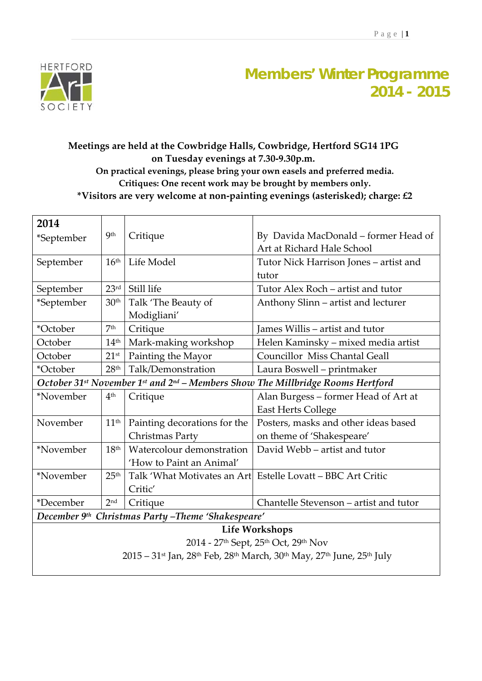

## **Members' Winter Programme 2014 - 2015**

## **Meetings are held at the Cowbridge Halls, Cowbridge, Hertford SG14 1PG on Tuesday evenings at 7.30‐9.30p.m. On practical evenings, please bring your own easels and preferred media. Critiques: One recent work may be brought by members only. \*Visitors are very welcome at non‐painting evenings (asterisked); charge: £2**

| 2014                                                                                                                                          |                  |                              |                                                             |  |  |
|-----------------------------------------------------------------------------------------------------------------------------------------------|------------------|------------------------------|-------------------------------------------------------------|--|--|
| *September                                                                                                                                    | <b>9th</b>       | Critique                     | By Davida MacDonald – former Head of                        |  |  |
|                                                                                                                                               |                  |                              | Art at Richard Hale School                                  |  |  |
| September                                                                                                                                     | $16^{\rm th}$    | Life Model                   | Tutor Nick Harrison Jones - artist and                      |  |  |
|                                                                                                                                               |                  |                              | tutor                                                       |  |  |
| September                                                                                                                                     | 23 <sup>rd</sup> | Still life                   | Tutor Alex Roch – artist and tutor                          |  |  |
| *September                                                                                                                                    | 30 <sup>th</sup> | Talk 'The Beauty of          | Anthony Slinn – artist and lecturer                         |  |  |
|                                                                                                                                               |                  | Modigliani'                  |                                                             |  |  |
| *October                                                                                                                                      | 7 <sup>th</sup>  | Critique                     | James Willis – artist and tutor                             |  |  |
| October                                                                                                                                       | 14 <sup>th</sup> | Mark-making workshop         | Helen Kaminsky – mixed media artist                         |  |  |
| October                                                                                                                                       | $21^{\rm st}$    | Painting the Mayor           | <b>Councillor Miss Chantal Geall</b>                        |  |  |
| *October                                                                                                                                      | 28 <sup>th</sup> | Talk/Demonstration           | Laura Boswell - printmaker                                  |  |  |
| October 31 <sup>st</sup> November 1 <sup>st</sup> and 2 <sup>nd</sup> – Members Show The Millbridge Rooms Hertford                            |                  |                              |                                                             |  |  |
| *November                                                                                                                                     | 4 <sup>th</sup>  | Critique                     | Alan Burgess - former Head of Art at                        |  |  |
|                                                                                                                                               |                  |                              | East Herts College                                          |  |  |
| November                                                                                                                                      | $11^{\rm th}$    | Painting decorations for the | Posters, masks and other ideas based                        |  |  |
|                                                                                                                                               |                  | Christmas Party              | on theme of 'Shakespeare'                                   |  |  |
| *November                                                                                                                                     | 18 <sup>th</sup> | Watercolour demonstration    | David Webb – artist and tutor                               |  |  |
|                                                                                                                                               |                  | 'How to Paint an Animal'     |                                                             |  |  |
| *November                                                                                                                                     | 25 <sup>th</sup> |                              | Talk 'What Motivates an Art Estelle Lovatt – BBC Art Critic |  |  |
|                                                                                                                                               |                  | Critic'                      |                                                             |  |  |
| *December                                                                                                                                     | 2 <sup>nd</sup>  | Critique                     | Chantelle Stevenson – artist and tutor                      |  |  |
| December 9th Christmas Party -Theme 'Shakespeare'                                                                                             |                  |                              |                                                             |  |  |
| Life Workshops                                                                                                                                |                  |                              |                                                             |  |  |
| 2014 - 27th Sept, 25th Oct, 29th Nov                                                                                                          |                  |                              |                                                             |  |  |
| 2015 - 31 <sup>st</sup> Jan, 28 <sup>th</sup> Feb, 28 <sup>th</sup> March, 30 <sup>th</sup> May, 27 <sup>th</sup> June, 25 <sup>th</sup> July |                  |                              |                                                             |  |  |
|                                                                                                                                               |                  |                              |                                                             |  |  |